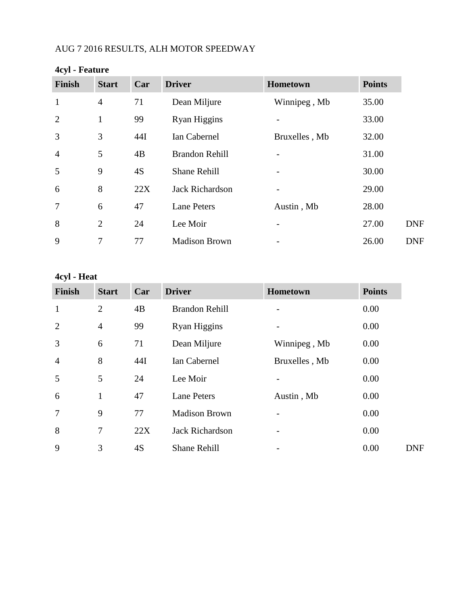# AUG 7 2016 RESULTS, ALH MOTOR SPEEDWAY

| <b>Finish</b>  | <b>Start</b>   | Car | <b>Driver</b>          | Hometown      | <b>Points</b> |
|----------------|----------------|-----|------------------------|---------------|---------------|
| $\mathbf{1}$   | $\overline{4}$ | 71  | Dean Miljure           | Winnipeg, Mb  | 35.00         |
| $\overline{2}$ | 1              | 99  | Ryan Higgins           |               | 33.00         |
| 3              | 3              | 44I | Ian Cabernel           | Bruxelles, Mb | 32.00         |
| $\overline{4}$ | 5              | 4B  | <b>Brandon Rehill</b>  |               | 31.00         |
| 5              | 9              | 4S  | <b>Shane Rehill</b>    | -             | 30.00         |
| 6              | 8              | 22X | <b>Jack Richardson</b> |               | 29.00         |
| $\overline{7}$ | 6              | 47  | <b>Lane Peters</b>     | Austin, Mb    | 28.00         |
| 8              | $\overline{2}$ | 24  | Lee Moir               |               | 27.00         |
| 9              | 7              | 77  | <b>Madison Brown</b>   |               | 26.00         |

# **4cyl - Feature**

# **4cyl - Heat**

| <b>Finish</b>  | <b>Start</b>   | Car | <b>Driver</b>          | <b>Hometown</b> | <b>Points</b> |
|----------------|----------------|-----|------------------------|-----------------|---------------|
| $\mathbf{1}$   | $\overline{2}$ | 4B  | <b>Brandon Rehill</b>  |                 | 0.00          |
| $\overline{2}$ | $\overline{4}$ | 99  | Ryan Higgins           |                 | 0.00          |
| 3              | 6              | 71  | Dean Miljure           | Winnipeg, Mb    | 0.00          |
| $\overline{4}$ | 8              | 44I | Ian Cabernel           | Bruxelles, Mb   | 0.00          |
| 5              | 5              | 24  | Lee Moir               |                 | 0.00          |
| 6              | 1              | 47  | <b>Lane Peters</b>     | Austin, Mb      | 0.00          |
| 7              | 9              | 77  | <b>Madison Brown</b>   |                 | 0.00          |
| 8              | 7              | 22X | <b>Jack Richardson</b> |                 | 0.00          |
| 9              | 3              | 4S  | <b>Shane Rehill</b>    |                 | 0.00          |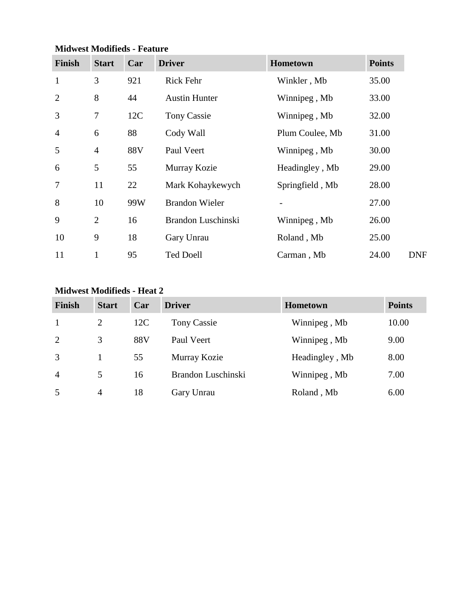| <b>Finish</b>  | <b>Start</b>   | Car | <b>Driver</b>         | Hometown        | <b>Points</b> |
|----------------|----------------|-----|-----------------------|-----------------|---------------|
| $\mathbf{1}$   | 3              | 921 | Rick Fehr             | Winkler, Mb     | 35.00         |
| $\overline{2}$ | 8              | 44  | <b>Austin Hunter</b>  | Winnipeg, Mb    | 33.00         |
| 3              | 7              | 12C | <b>Tony Cassie</b>    | Winnipeg, Mb    | 32.00         |
| $\overline{4}$ | 6              | 88  | Cody Wall             | Plum Coulee, Mb | 31.00         |
| 5              | $\overline{4}$ | 88V | Paul Veert            | Winnipeg, Mb    | 30.00         |
| 6              | 5              | 55  | Murray Kozie          | Headingley, Mb  | 29.00         |
| 7              | 11             | 22  | Mark Kohaykewych      | Springfield, Mb | 28.00         |
| 8              | 10             | 99W | <b>Brandon Wieler</b> |                 | 27.00         |
| 9              | $\overline{2}$ | 16  | Brandon Luschinski    | Winnipeg, Mb    | 26.00         |
| 10             | 9              | 18  | Gary Unrau            | Roland, Mb      | 25.00         |
| 11             | $\mathbf{1}$   | 95  | <b>Ted Doell</b>      | Carman, Mb      | 24.00         |

### **Midwest Modifieds - Feature**

### **Midwest Modifieds - Heat 2**

| Finish         | <b>Start</b> | Car | <b>Driver</b>      | Hometown       | <b>Points</b> |
|----------------|--------------|-----|--------------------|----------------|---------------|
| $\mathbf{1}$   | 2            | 12C | <b>Tony Cassie</b> | Winnipeg, Mb   | 10.00         |
| 2              | 3            | 88V | Paul Veert         | Winnipeg, Mb   | 9.00          |
| 3              |              | 55  | Murray Kozie       | Headingley, Mb | 8.00          |
| $\overline{4}$ | 5            | 16  | Brandon Luschinski | Winnipeg, Mb   | 7.00          |
| 5              | 4            | 18  | Gary Unrau         | Roland, Mb     | 6.00          |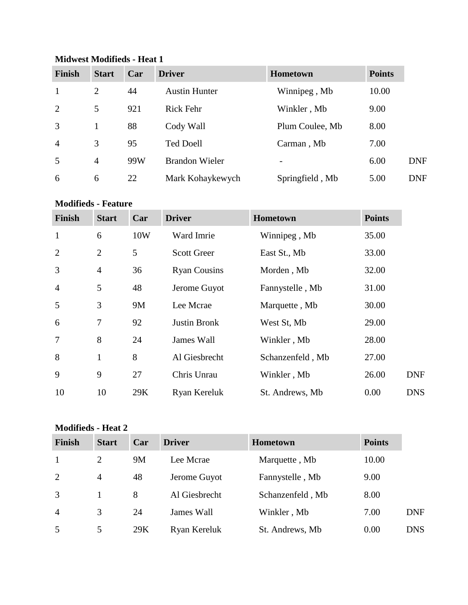| <b>Finish</b>  | <b>Start</b>   | Car | <b>Driver</b>         | <b>Hometown</b> | <b>Points</b> |            |
|----------------|----------------|-----|-----------------------|-----------------|---------------|------------|
| $\mathbf{1}$   | $\overline{2}$ | 44  | <b>Austin Hunter</b>  | Winnipeg, Mb    | 10.00         |            |
| 2              | 5              | 921 | Rick Fehr             | Winkler, Mb     | 9.00          |            |
| 3              |                | 88  | Cody Wall             | Plum Coulee, Mb | 8.00          |            |
| $\overline{4}$ | 3              | 95  | <b>Ted Doell</b>      | Carman, Mb      | 7.00          |            |
| 5              | 4              | 99W | <b>Brandon Wieler</b> |                 | 6.00          | <b>DNF</b> |
| 6              | 6              | 22  | Mark Kohaykewych      | Springfield, Mb | 5.00          | <b>DNF</b> |

#### **Midwest Modifieds - Heat 1**

**Modifieds - Feature**

| <b>Finish</b>  | <b>Start</b>   | Car | <b>Driver</b>       | Hometown         | <b>Points</b> |            |
|----------------|----------------|-----|---------------------|------------------|---------------|------------|
| $\mathbf{1}$   | 6              | 10W | Ward Imrie          | Winnipeg, Mb     | 35.00         |            |
| $\overline{2}$ | $\overline{2}$ | 5   | <b>Scott Greer</b>  | East St., Mb     | 33.00         |            |
| 3              | $\overline{4}$ | 36  | <b>Ryan Cousins</b> | Morden, Mb       | 32.00         |            |
| $\overline{4}$ | 5              | 48  | Jerome Guyot        | Fannystelle, Mb  | 31.00         |            |
| 5              | 3              | 9M  | Lee Mcrae           | Marquette, Mb    | 30.00         |            |
| 6              | 7              | 92  | <b>Justin Bronk</b> | West St, Mb      | 29.00         |            |
| $\overline{7}$ | 8              | 24  | James Wall          | Winkler, Mb      | 28.00         |            |
| 8              | $\mathbf{1}$   | 8   | Al Giesbrecht       | Schanzenfeld, Mb | 27.00         |            |
| 9              | 9              | 27  | Chris Unrau         | Winkler, Mb      | 26.00         | <b>DNF</b> |
| 10             | 10             | 29K | Ryan Kereluk        | St. Andrews, Mb  | 0.00          | <b>DNS</b> |

## **Modifieds - Heat 2**

| <b>Finish</b>  | <b>Start</b>   | Car | <b>Driver</b> | <b>Hometown</b>  | <b>Points</b> |            |
|----------------|----------------|-----|---------------|------------------|---------------|------------|
| $\mathbf{1}$   | 2              | 9M  | Lee Mcrae     | Marquette, Mb    | 10.00         |            |
| 2              | $\overline{4}$ | 48  | Jerome Guyot  | Fannystelle, Mb  | 9.00          |            |
| 3              |                | 8   | Al Giesbrecht | Schanzenfeld, Mb | 8.00          |            |
| $\overline{4}$ | 3              | 24  | James Wall    | Winkler, Mb      | 7.00          | <b>DNF</b> |
| 5              | 5              | 29K | Ryan Kereluk  | St. Andrews, Mb  | 0.00          | <b>DNS</b> |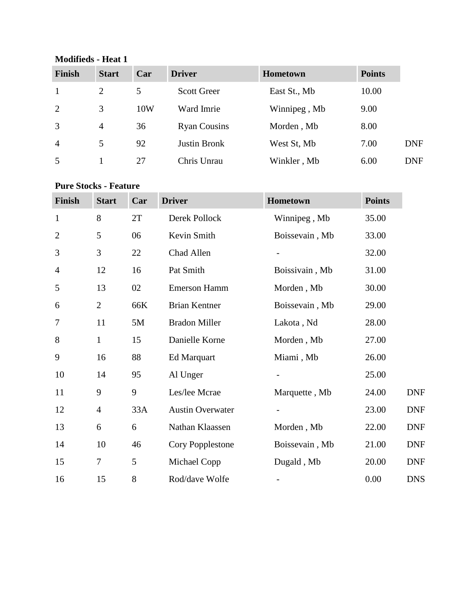#### **Modifieds - Heat 1**

| <b>Finish</b>  | <b>Start</b>   | Car | <b>Driver</b>       | Hometown     | <b>Points</b> |            |
|----------------|----------------|-----|---------------------|--------------|---------------|------------|
| $\mathbf{1}$   | 2              | 5   | <b>Scott Greer</b>  | East St., Mb | 10.00         |            |
| 2              | 3              | 10W | Ward Imrie          | Winnipeg, Mb | 9.00          |            |
| 3              | $\overline{4}$ | 36  | <b>Ryan Cousins</b> | Morden, Mb   | 8.00          |            |
| $\overline{4}$ | 5              | 92  | <b>Justin Bronk</b> | West St, Mb  | 7.00          | <b>DNF</b> |
| 5              |                | 27  | Chris Unrau         | Winkler, Mb  | 6.00          | <b>DNF</b> |

#### **Pure Stocks - Feature**

| <b>Finish</b>  | <b>Start</b>   | Car | <b>Driver</b>           | Hometown                 | <b>Points</b> |
|----------------|----------------|-----|-------------------------|--------------------------|---------------|
| $\mathbf{1}$   | 8              | 2T  | Derek Pollock           | Winnipeg, Mb             | 35.00         |
| $\overline{2}$ | 5              | 06  | Kevin Smith             | Boissevain, Mb           | 33.00         |
| 3              | 3              | 22  | Chad Allen              |                          | 32.00         |
| $\overline{4}$ | 12             | 16  | Pat Smith               | Boissivain, Mb           | 31.00         |
| 5              | 13             | 02  | <b>Emerson Hamm</b>     | Morden, Mb               | 30.00         |
| 6              | $\overline{2}$ | 66K | <b>Brian Kentner</b>    | Boissevain, Mb           | 29.00         |
| 7              | 11             | 5M  | <b>Bradon Miller</b>    | Lakota, Nd               | 28.00         |
| 8              | $\mathbf{1}$   | 15  | Danielle Korne          | Morden, Mb               | 27.00         |
| 9              | 16             | 88  | Ed Marquart             | Miami, Mb                | 26.00         |
| 10             | 14             | 95  | Al Unger                |                          | 25.00         |
| 11             | 9              | 9   | Les/lee Mcrae           | Marquette, Mb            | 24.00         |
| 12             | $\overline{4}$ | 33A | <b>Austin Overwater</b> |                          | 23.00         |
| 13             | 6              | 6   | Nathan Klaassen         | Morden, Mb               | 22.00         |
| 14             | 10             | 46  | Cory Popplestone        | Boissevain, Mb           | 21.00         |
| 15             | $\overline{7}$ | 5   | Michael Copp            | Dugald, Mb               | 20.00         |
| 16             | 15             | 8   | Rod/dave Wolfe          | $\overline{\phantom{a}}$ | 0.00          |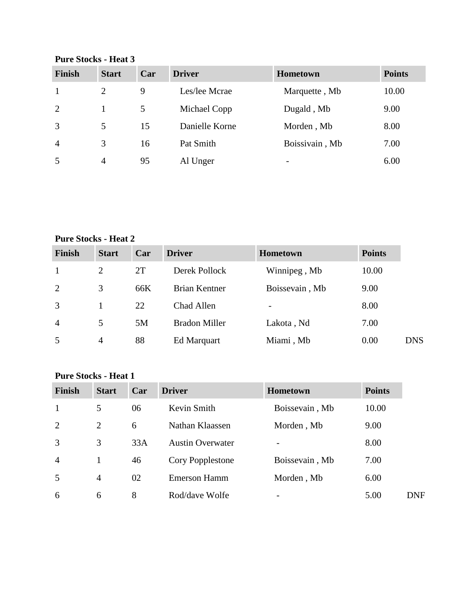**Finish Start Car Driver Hometown Points** 1 2 9 Les/lee Mcrae Marquette , Mb 10.00 2 1 5 Michael Copp Dugald , Mb 9.00 3 5 15 Danielle Korne Morden , Mb 8.00 4 3 16 Pat Smith Boissivain , Mb 7.00 5 4 95 Al Unger - 6.00

**Pure Stocks - Heat 3**

### **Pure Stocks - Heat 2**

| Finish         | <b>Start</b> | Car | <b>Driver</b>        | <b>Hometown</b> | <b>Points</b> |            |
|----------------|--------------|-----|----------------------|-----------------|---------------|------------|
| $\mathbf{1}$   | 2            | 2T  | Derek Pollock        | Winnipeg, Mb    | 10.00         |            |
| 2              | 3            | 66K | <b>Brian Kentner</b> | Boissevain, Mb  | 9.00          |            |
| 3              |              | 22  | Chad Allen           |                 | 8.00          |            |
| $\overline{4}$ | 5            | 5M  | <b>Bradon Miller</b> | Lakota, Nd      | 7.00          |            |
| 5              | 4            | 88  | Ed Marquart          | Miami, Mb       | 0.00          | <b>DNS</b> |

#### **Pure Stocks - Heat 1**

| <b>Finish</b>  | <b>Start</b>   | Car | <b>Driver</b>           | <b>Hometown</b> | <b>Points</b> |            |
|----------------|----------------|-----|-------------------------|-----------------|---------------|------------|
| $\mathbf{1}$   | 5              | 06  | Kevin Smith             | Boissevain, Mb  | 10.00         |            |
| 2              | $\overline{2}$ | 6   | Nathan Klaassen         | Morden, Mb      | 9.00          |            |
| 3              | 3              | 33A | <b>Austin Overwater</b> |                 | 8.00          |            |
| $\overline{4}$ |                | 46  | Cory Popplestone        | Boissevain, Mb  | 7.00          |            |
| 5              | $\overline{4}$ | 02  | Emerson Hamm            | Morden, Mb      | 6.00          |            |
| 6              | 6              | 8   | Rod/dave Wolfe          |                 | 5.00          | <b>DNF</b> |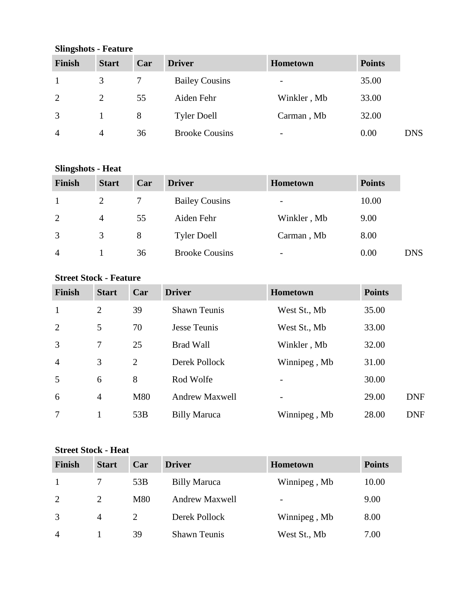| $\mathbf{O}\Pi$ ling $\mathbf{S}\Pi$ utis - Teature |                |     |                       |                          |               |            |  |
|-----------------------------------------------------|----------------|-----|-----------------------|--------------------------|---------------|------------|--|
| Finish                                              | <b>Start</b>   | Car | <b>Driver</b>         | <b>Hometown</b>          | <b>Points</b> |            |  |
| -1                                                  | 3              |     | <b>Bailey Cousins</b> | -                        | 35.00         |            |  |
| 2                                                   | $\overline{2}$ | 55  | Aiden Fehr            | Winkler, Mb              | 33.00         |            |  |
| 3                                                   |                | 8   | <b>Tyler Doell</b>    | Carman, Mb               | 32.00         |            |  |
| $\overline{4}$                                      | $\overline{4}$ | 36  | <b>Brooke Cousins</b> | $\overline{\phantom{0}}$ | 0.00          | <b>DNS</b> |  |

#### **Slingshots - Feature**

### **Slingshots - Heat**

| <b>Finish</b>          | <b>Start</b> | Car | <b>Driver</b>         | <b>Hometown</b> | <b>Points</b> |            |
|------------------------|--------------|-----|-----------------------|-----------------|---------------|------------|
|                        |              |     | <b>Bailey Cousins</b> | -               | 10.00         |            |
| 2                      | 4            | 55  | Aiden Fehr            | Winkler, Mb     | 9.00          |            |
| 3                      | 3            | 8   | <b>Tyler Doell</b>    | Carman, Mb      | 8.00          |            |
| $\boldsymbol{\Lambda}$ |              | 36  | <b>Brooke Cousins</b> | -               | 0.00          | <b>DNS</b> |

### **Street Stock - Feature**

| <b>Finish</b>  | <b>Start</b>   | Car | <b>Driver</b>         | <b>Hometown</b> | <b>Points</b> |            |
|----------------|----------------|-----|-----------------------|-----------------|---------------|------------|
| $\mathbf{1}$   | $\overline{2}$ | 39  | <b>Shawn Teunis</b>   | West St., Mb    | 35.00         |            |
| $\overline{2}$ | 5              | 70  | <b>Jesse Teunis</b>   | West St., Mb    | 33.00         |            |
| 3              | 7              | 25  | <b>Brad Wall</b>      | Winkler, Mb     | 32.00         |            |
| $\overline{4}$ | 3              | 2   | Derek Pollock         | Winnipeg, Mb    | 31.00         |            |
| 5              | 6              | 8   | Rod Wolfe             |                 | 30.00         |            |
| 6              | $\overline{4}$ | M80 | <b>Andrew Maxwell</b> |                 | 29.00         | <b>DNF</b> |
| 7              | 1              | 53B | <b>Billy Maruca</b>   | Winnipeg, Mb    | 28.00         | <b>DNF</b> |

### **Street Stock - Heat**

| <b>Finish</b>          | <b>Start</b>   | Car | <b>Driver</b>         | <b>Hometown</b>          | <b>Points</b> |
|------------------------|----------------|-----|-----------------------|--------------------------|---------------|
|                        |                | 53B | <b>Billy Maruca</b>   | Winnipeg, Mb             | 10.00         |
| 2                      |                | M80 | <b>Andrew Maxwell</b> | $\overline{\phantom{a}}$ | 9.00          |
| 3                      | $\overline{A}$ |     | Derek Pollock         | Winnipeg, Mb             | 8.00          |
| $\boldsymbol{\Lambda}$ |                | 39  | <b>Shawn Teunis</b>   | West St., Mb             | 7.00          |